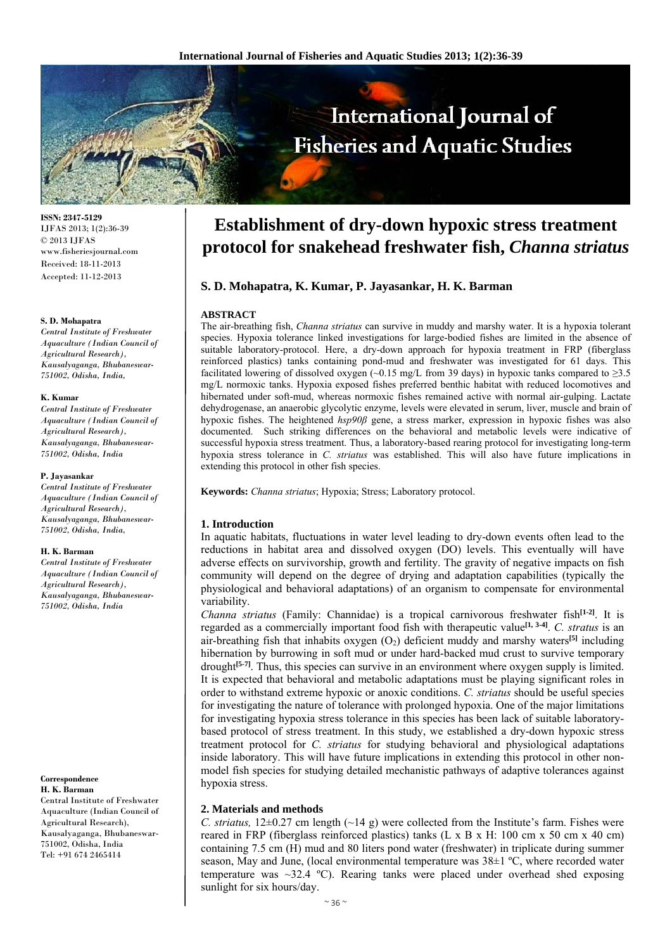

**ISSN: 2347-5129** IJFAS 2013; 1(2):36-39 © 2013 IJFAS www.fisheriesjournal.com Received: 18-11-2013 Accepted: 11-12-2013

## **S. D. Mohapatra**

*Central Institute of Freshwater Aquaculture (Indian Council of Agricultural Research), Kausalyaganga, Bhubaneswar-751002, Odisha, India,* 

## **K. Kumar**

*Central Institute of Freshwater Aquaculture (Indian Council of Agricultural Research), Kausalyaganga, Bhubaneswar-751002, Odisha, India* 

## **P. Jayasankar**

*Central Institute of Freshwater Aquaculture (Indian Council of Agricultural Research), Kausalyaganga, Bhubaneswar-751002, Odisha, India,* 

## **H. K. Barman**

*Central Institute of Freshwater Aquaculture (Indian Council of Agricultural Research), Kausalyaganga, Bhubaneswar-751002, Odisha, India* 

## **Correspondence H. K. Barman**

Central Institute of Freshwater Aquaculture (Indian Council of Agricultural Research), Kausalyaganga, Bhubaneswar-751002, Odisha, India Tel: +91 674 2465414

# **Establishment of dry-down hypoxic stress treatment protocol for snakehead freshwater fish,** *Channa striatus*

# **S. D. Mohapatra, K. Kumar, P. Jayasankar, H. K. Barman**

## **ABSTRACT**

The air-breathing fish, *Channa striatus* can survive in muddy and marshy water. It is a hypoxia tolerant species. Hypoxia tolerance linked investigations for large-bodied fishes are limited in the absence of suitable laboratory-protocol. Here, a dry-down approach for hypoxia treatment in FRP (fiberglass reinforced plastics) tanks containing pond-mud and freshwater was investigated for 61 days. This facilitated lowering of dissolved oxygen (~0.15 mg/L from 39 days) in hypoxic tanks compared to  $\geq$ 3.5 mg/L normoxic tanks. Hypoxia exposed fishes preferred benthic habitat with reduced locomotives and hibernated under soft-mud, whereas normoxic fishes remained active with normal air-gulping. Lactate dehydrogenase, an anaerobic glycolytic enzyme, levels were elevated in serum, liver, muscle and brain of hypoxic fishes. The heightened *hsp90β* gene, a stress marker, expression in hypoxic fishes was also documented. Such striking differences on the behavioral and metabolic levels were indicative of successful hypoxia stress treatment. Thus, a laboratory-based rearing protocol for investigating long-term hypoxia stress tolerance in *C. striatus* was established. This will also have future implications in extending this protocol in other fish species.

**Keywords:** *Channa striatus*; Hypoxia; Stress; Laboratory protocol.

## **1. Introduction**

In aquatic habitats, fluctuations in water level leading to dry-down events often lead to the reductions in habitat area and dissolved oxygen (DO) levels. This eventually will have adverse effects on survivorship, growth and fertility. The gravity of negative impacts on fish community will depend on the degree of drying and adaptation capabilities (typically the physiological and behavioral adaptations) of an organism to compensate for environmental variability.

*Channa striatus* (Family: Channidae) is a tropical carnivorous freshwater fish**[1-2]**. It is regarded as a commercially important food fish with therapeutic value<sup>[1, 3-4]</sup>. *C. stratus* is an air-breathing fish that inhabits oxygen (O<sub>2</sub>) deficient muddy and marshy waters<sup>[5]</sup> including hibernation by burrowing in soft mud or under hard-backed mud crust to survive temporary drought**[5-7]**. Thus, this species can survive in an environment where oxygen supply is limited. It is expected that behavioral and metabolic adaptations must be playing significant roles in order to withstand extreme hypoxic or anoxic conditions. *C. striatus* should be useful species for investigating the nature of tolerance with prolonged hypoxia. One of the major limitations for investigating hypoxia stress tolerance in this species has been lack of suitable laboratorybased protocol of stress treatment. In this study, we established a dry-down hypoxic stress treatment protocol for *C. striatus* for studying behavioral and physiological adaptations inside laboratory. This will have future implications in extending this protocol in other nonmodel fish species for studying detailed mechanistic pathways of adaptive tolerances against hypoxia stress.

## **2. Materials and methods**

*C. striatus,* 12±0.27 cm length (~14 g) were collected from the Institute's farm. Fishes were reared in FRP (fiberglass reinforced plastics) tanks  $(L \times B \times H: 100 \text{ cm} \times 50 \text{ cm} \times 40 \text{ cm})$ containing 7.5 cm (H) mud and 80 liters pond water (freshwater) in triplicate during summer season, May and June, (local environmental temperature was  $38\pm1$  °C, where recorded water temperature was  $\sim$ 32.4 °C). Rearing tanks were placed under overhead shed exposing sunlight for six hours/day.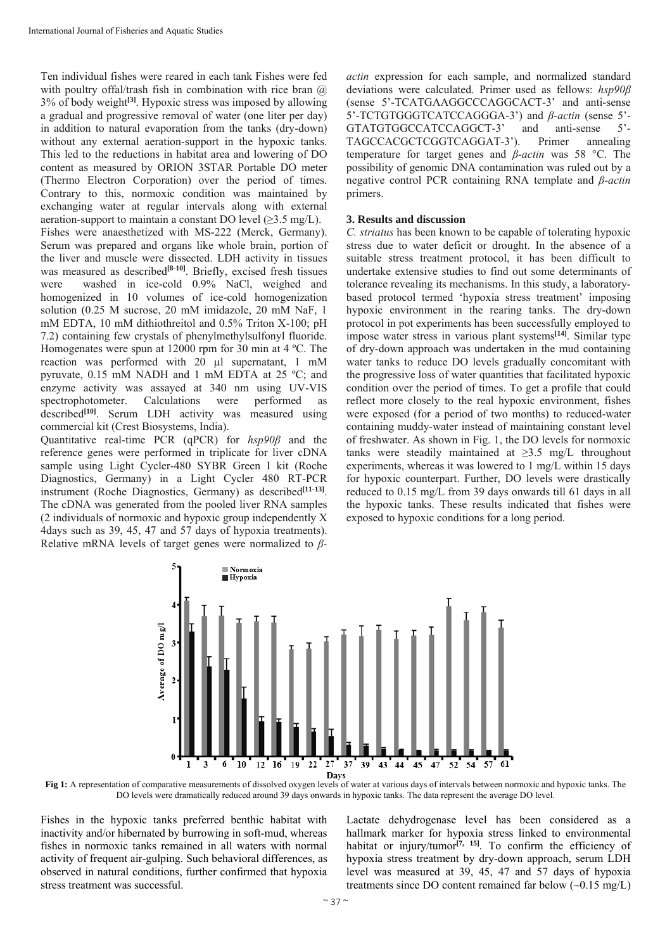Ten individual fishes were reared in each tank Fishes were fed with poultry offal/trash fish in combination with rice bran  $\omega$ 3% of body weight**[3]**. Hypoxic stress was imposed by allowing a gradual and progressive removal of water (one liter per day) in addition to natural evaporation from the tanks (dry-down) without any external aeration-support in the hypoxic tanks. This led to the reductions in habitat area and lowering of DO content as measured by ORION 3STAR Portable DO meter (Thermo Electron Corporation) over the period of times. Contrary to this, normoxic condition was maintained by exchanging water at regular intervals along with external aeration-support to maintain a constant DO level  $(\geq 3.5 \text{ mg/L})$ . Fishes were anaesthetized with MS-222 (Merck, Germany). Serum was prepared and organs like whole brain, portion of the liver and muscle were dissected. LDH activity in tissues was measured as described<sup>[8-10]</sup>. Briefly, excised fresh tissues were washed in ice-cold 0.9% NaCl, weighed and homogenized in 10 volumes of ice-cold homogenization solution (0.25 M sucrose, 20 mM imidazole, 20 mM NaF, 1 mM EDTA, 10 mM dithiothreitol and 0.5% Triton X-100; pH 7.2) containing few crystals of phenylmethylsulfonyl fluoride. Homogenates were spun at 12000 rpm for 30 min at 4 ºC. The reaction was performed with 20 µl supernatant, 1 mM pyruvate, 0.15 mM NADH and 1 mM EDTA at 25 ºC; and enzyme activity was assayed at 340 nm using UV-VIS spectrophotometer. Calculations were performed as described<sup>[10]</sup>. Serum LDH activity was measured using commercial kit (Crest Biosystems, India).

Quantitative real-time PCR (qPCR) for *hsp90β* and the reference genes were performed in triplicate for liver cDNA sample using Light Cycler-480 SYBR Green I kit (Roche Diagnostics, Germany) in a Light Cycler 480 RT-PCR instrument (Roche Diagnostics, Germany) as described**[11-13]**. The cDNA was generated from the pooled liver RNA samples (2 individuals of normoxic and hypoxic group independently X 4days such as 39, 45, 47 and 57 days of hypoxia treatments). Relative mRNA levels of target genes were normalized to *β-* *actin* expression for each sample, and normalized standard deviations were calculated. Primer used as fellows: *hsp90β* (sense 5'-TCATGAAGGCCCAGGCACT-3' and anti-sense 5'-TCTGTGGGTCATCCAGGGA-3') and *β-actin* (sense 5'- GTATGTGGCCATCCAGGCT-3' and anti-sense 5'- TAGCCACGCTCGGTCAGGAT-3'). Primer annealing temperature for target genes and *β-actin* was 58 °C. The possibility of genomic DNA contamination was ruled out by a negative control PCR containing RNA template and *β-actin* primers.

## **3. Results and discussion**

*C. striatus* has been known to be capable of tolerating hypoxic stress due to water deficit or drought. In the absence of a suitable stress treatment protocol, it has been difficult to undertake extensive studies to find out some determinants of tolerance revealing its mechanisms. In this study, a laboratorybased protocol termed 'hypoxia stress treatment' imposing hypoxic environment in the rearing tanks. The dry-down protocol in pot experiments has been successfully employed to impose water stress in various plant systems**[14]**. Similar type of dry-down approach was undertaken in the mud containing water tanks to reduce DO levels gradually concomitant with the progressive loss of water quantities that facilitated hypoxic condition over the period of times. To get a profile that could reflect more closely to the real hypoxic environment, fishes were exposed (for a period of two months) to reduced-water containing muddy-water instead of maintaining constant level of freshwater. As shown in Fig. 1, the DO levels for normoxic tanks were steadily maintained at ≥3.5 mg/L throughout experiments, whereas it was lowered to 1 mg/L within 15 days for hypoxic counterpart. Further, DO levels were drastically reduced to 0.15 mg/L from 39 days onwards till 61 days in all the hypoxic tanks. These results indicated that fishes were exposed to hypoxic conditions for a long period.



**Fig 1:** A representation of comparative measurements of dissolved oxygen levels of water at various days of intervals between normoxic and hypoxic tanks. The DO levels were dramatically reduced around 39 days onwards in hypoxic tanks. The data represent the average DO level.

Fishes in the hypoxic tanks preferred benthic habitat with inactivity and/or hibernated by burrowing in soft-mud, whereas fishes in normoxic tanks remained in all waters with normal activity of frequent air-gulping. Such behavioral differences, as observed in natural conditions, further confirmed that hypoxia stress treatment was successful.

Lactate dehydrogenase level has been considered as a hallmark marker for hypoxia stress linked to environmental habitat or injury/tumor<sup>[7, 15]</sup>. To confirm the efficiency of hypoxia stress treatment by dry-down approach, serum LDH level was measured at 39, 45, 47 and 57 days of hypoxia treatments since DO content remained far below (~0.15 mg/L)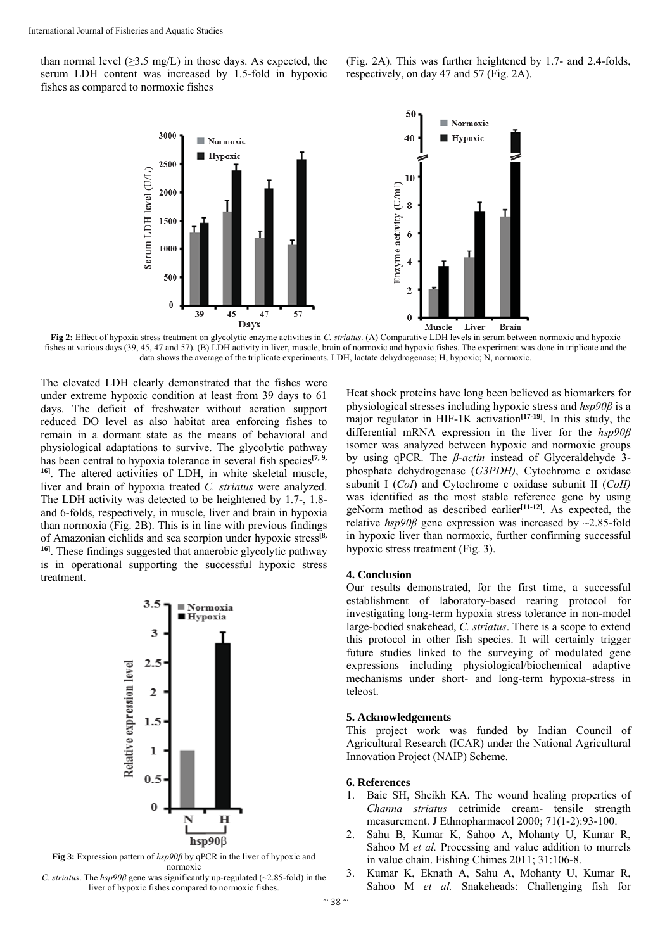than normal level  $(\geq 3.5 \text{ mg/L})$  in those days. As expected, the serum LDH content was increased by 1.5-fold in hypoxic fishes as compared to normoxic fishes

(Fig. 2A). This was further heightened by 1.7- and 2.4-folds, respectively, on day 47 and 57 (Fig. 2A).



**Fig 2:** Effect of hypoxia stress treatment on glycolytic enzyme activities in *C. striatus*. (A) Comparative LDH levels in serum between normoxic and hypoxic fishes at various days (39, 45, 47 and 57). (B) LDH activity in liver, muscle, brain of normoxic and hypoxic fishes. The experiment was done in triplicate and the data shows the average of the triplicate experiments. LDH, lactate dehydrogenase; H, hypoxic; N, normoxic.

The elevated LDH clearly demonstrated that the fishes were under extreme hypoxic condition at least from 39 days to 61 days. The deficit of freshwater without aeration support reduced DO level as also habitat area enforcing fishes to remain in a dormant state as the means of behavioral and physiological adaptations to survive. The glycolytic pathway has been central to hypoxia tolerance in several fish species**[7, 9, 16]**. The altered activities of LDH, in white skeletal muscle, liver and brain of hypoxia treated *C. striatus* were analyzed. The LDH activity was detected to be heightened by 1.7-, 1.8 and 6-folds, respectively, in muscle, liver and brain in hypoxia than normoxia (Fig. 2B). This is in line with previous findings of Amazonian cichlids and sea scorpion under hypoxic stress**[8, 16]**. These findings suggested that anaerobic glycolytic pathway is in operational supporting the successful hypoxic stress treatment.



**Fig 3:** Expression pattern of *hsp90β* by qPCR in the liver of hypoxic and normoxic

*C. striatus*. The *hsp90β* gene was significantly up-regulated (~2.85-fold) in the liver of hypoxic fishes compared to normoxic fishes.

Heat shock proteins have long been believed as biomarkers for physiological stresses including hypoxic stress and *hsp90β* is a major regulator in HIF-1K activation<sup>[17-19]</sup>. In this study, the differential mRNA expression in the liver for the *hsp90β* isomer was analyzed between hypoxic and normoxic groups by using qPCR. The *β-actin* instead of Glyceraldehyde 3 phosphate dehydrogenase (*G3PDH)*, Cytochrome c oxidase subunit I (*CoI*) and Cytochrome c oxidase subunit II (*CoII)* was identified as the most stable reference gene by using geNorm method as described earlier**[11-12]**. As expected, the relative *hsp90β* gene expression was increased by ~2.85-fold in hypoxic liver than normoxic, further confirming successful hypoxic stress treatment (Fig. 3).

## **4. Conclusion**

Our results demonstrated, for the first time, a successful establishment of laboratory-based rearing protocol for investigating long-term hypoxia stress tolerance in non-model large-bodied snakehead, *C. striatus*. There is a scope to extend this protocol in other fish species. It will certainly trigger future studies linked to the surveying of modulated gene expressions including physiological/biochemical adaptive mechanisms under short- and long-term hypoxia-stress in teleost.

## **5. Acknowledgements**

This project work was funded by Indian Council of Agricultural Research (ICAR) under the National Agricultural Innovation Project (NAIP) Scheme.

## **6. References**

- 1. Baie SH, Sheikh KA. The wound healing properties of *Channa striatus* cetrimide cream- tensile strength measurement. J Ethnopharmacol 2000; 71(1-2):93-100.
- 2. Sahu B, Kumar K, Sahoo A, Mohanty U, Kumar R, Sahoo M *et al.* Processing and value addition to murrels in value chain. Fishing Chimes 2011; 31:106-8.
- 3. Kumar K, Eknath A, Sahu A, Mohanty U, Kumar R, Sahoo M *et al.* Snakeheads: Challenging fish for